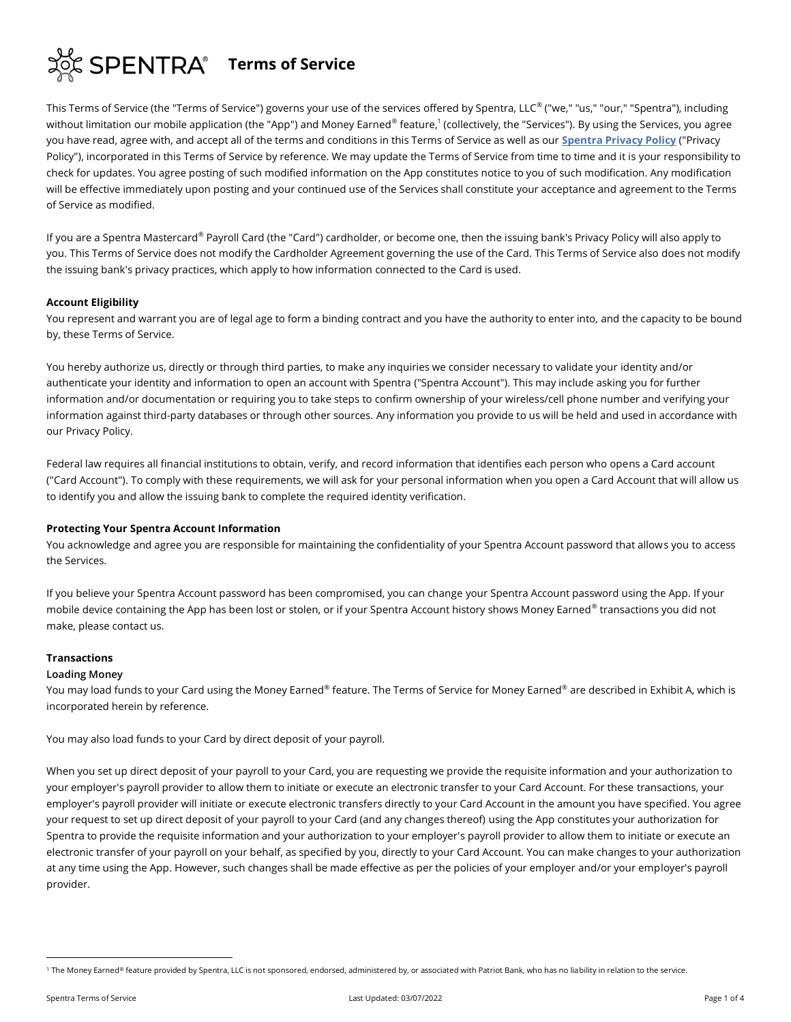

This Terms of Service (the "Terms of Service") governs your use of the services offered by Spentra, LLC® ("we," "us," "our," "Spentra"), including without limitation our mobile application (the "App") and Money Earned® feature,<sup>1</sup> (collectively, the "Services"). By using the Services, you agree you have read, agree with, and accept all of the terms and conditions in this Terms of Service as well as our **[Spentra Privacy Policy](https://spentra.com/en/spentra-privacy-policy/)** ("Privacy Policy"), incorporated in this Terms of Service by reference. We may update the Terms of Service from time to time and it is your responsibility to check for updates. You agree posting of such modified information on the App constitutes notice to you of such modification. Any modification will be effective immediately upon posting and your continued use of the Services shall constitute your acceptance and agreement to the Terms of Service as modified.

If you are a Spentra Mastercard® Payroll Card (the "Card") cardholder, or become one, then the issuing bank's Privacy Policy will also apply to you. This Terms of Service does not modify the Cardholder Agreement governing the use of the Card. This Terms of Service also does not modify the issuing bank's privacy practices, which apply to how information connected to the Card is used.

## **Account Eligibility**

You represent and warrant you are of legal age to form a binding contract and you have the authority to enter into, and the capacity to be bound by, these Terms of Service.

You hereby authorize us, directly or through third parties, to make any inquiries we consider necessary to validate your identity and/or authenticate your identity and information to open an account with Spentra ("Spentra Account"). This may include asking you for further information and/or documentation or requiring you to take steps to confirm ownership of your wireless/cell phone number and verifying your information against third-party databases or through other sources. Any information you provide to us will be held and used in accordance with our Privacy Policy.

Federal law requires all financial institutions to obtain, verify, and record information that identifies each person who opens a Card account ("Card Account"). To comply with these requirements, we will ask for your personal information when you open a Card Account that will allow us to identify you and allow the issuing bank to complete the required identity verification.

### **Protecting Your Spentra Account Information**

You acknowledge and agree you are responsible for maintaining the confidentiality of your Spentra Account password that allows you to access the Services.

If you believe your Spentra Account password has been compromised, you can change your Spentra Account password using the App. If your mobile device containing the App has been lost or stolen, or if your Spentra Account history shows Money Earned® transactions you did not make, please contact us.

### **Transactions**

### **Loading Money**

You may load funds to your Card using the Money Earned® feature. The Terms of Service for Money Earned® are described in Exhibit A, which is incorporated herein by reference.

You may also load funds to your Card by direct deposit of your payroll.

When you set up direct deposit of your payroll to your Card, you are requesting we provide the requisite information and your authorization to your employer's payroll provider to allow them to initiate or execute an electronic transfer to your Card Account. For these transactions, your employer's payroll provider will initiate or execute electronic transfers directly to your Card Account in the amount you have specified. You agree your request to set up direct deposit of your payroll to your Card (and any changes thereof) using the App constitutes your authorization for Spentra to provide the requisite information and your authorization to your employer's payroll provider to allow them to initiate or execute an electronic transfer of your payroll on your behalf, as specified by you, directly to your Card Account. You can make changes to your authorization at any time using the App. However, such changes shall be made effective as per the policies of your employer and/or your employer's payroll provider.

<sup>&</sup>lt;sup>1</sup> The Money Earned® feature provided by Spentra, LLC is not sponsored, endorsed, administered by, or associated with Patriot Bank, who has no liability in relation to the service.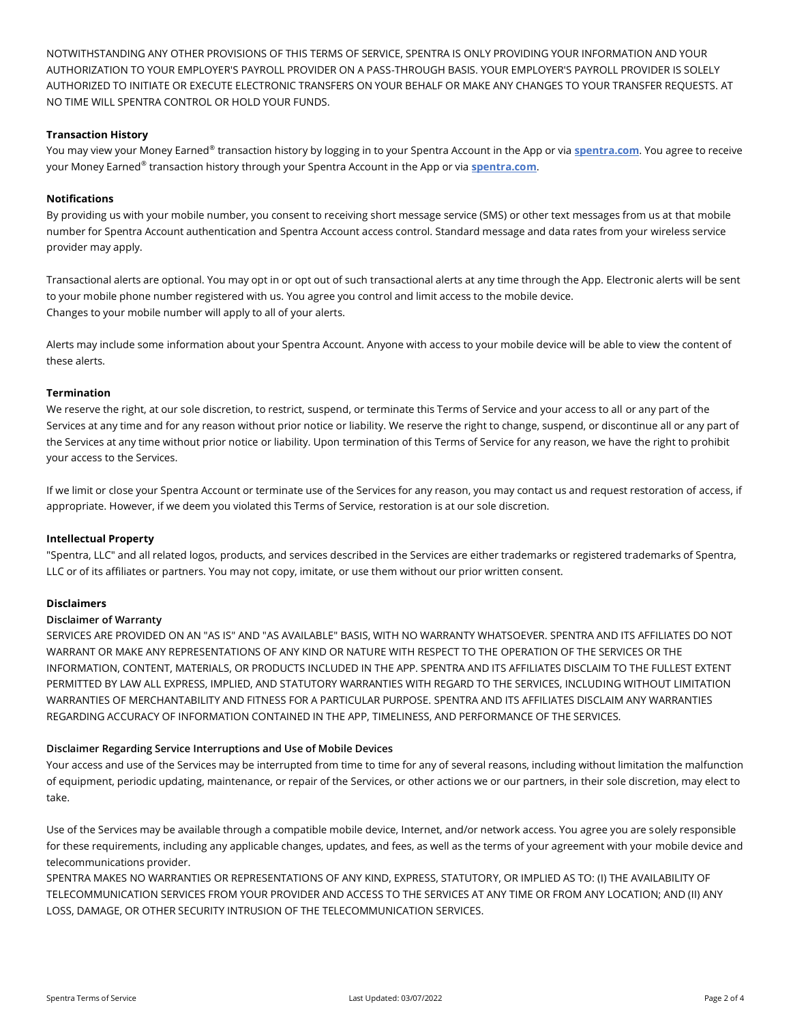NOTWITHSTANDING ANY OTHER PROVISIONS OF THIS TERMS OF SERVICE, SPENTRA IS ONLY PROVIDING YOUR INFORMATION AND YOUR AUTHORIZATION TO YOUR EMPLOYER'S PAYROLL PROVIDER ON A PASS-THROUGH BASIS. YOUR EMPLOYER'S PAYROLL PROVIDER IS SOLELY AUTHORIZED TO INITIATE OR EXECUTE ELECTRONIC TRANSFERS ON YOUR BEHALF OR MAKE ANY CHANGES TO YOUR TRANSFER REQUESTS. AT NO TIME WILL SPENTRA CONTROL OR HOLD YOUR FUNDS.

# **Transaction History**

You may view your Money Earned® transaction history by logging in to your Spentra Account in the App or via **[spentra.com](http://spentra.com/)**. You agree to receive your Money Earned® transaction history through your Spentra Account in the App or via **[spentra.com](http://spentra.com/)**.

# **Notifications**

By providing us with your mobile number, you consent to receiving short message service (SMS) or other text messages from us at that mobile number for Spentra Account authentication and Spentra Account access control. Standard message and data rates from your wireless service provider may apply.

Transactional alerts are optional. You may opt in or opt out of such transactional alerts at any time through the App. Electronic alerts will be sent to your mobile phone number registered with us. You agree you control and limit access to the mobile device. Changes to your mobile number will apply to all of your alerts.

Alerts may include some information about your Spentra Account. Anyone with access to your mobile device will be able to view the content of these alerts.

## **Termination**

We reserve the right, at our sole discretion, to restrict, suspend, or terminate this Terms of Service and your access to all or any part of the Services at any time and for any reason without prior notice or liability. We reserve the right to change, suspend, or discontinue all or any part of the Services at any time without prior notice or liability. Upon termination of this Terms of Service for any reason, we have the right to prohibit your access to the Services.

If we limit or close your Spentra Account or terminate use of the Services for any reason, you may contact us and request restoration of access, if appropriate. However, if we deem you violated this Terms of Service, restoration is at our sole discretion.

## **Intellectual Property**

"Spentra, LLC" and all related logos, products, and services described in the Services are either trademarks or registered trademarks of Spentra, LLC or of its affiliates or partners. You may not copy, imitate, or use them without our prior written consent.

## **Disclaimers**

## **Disclaimer of Warranty**

SERVICES ARE PROVIDED ON AN "AS IS" AND "AS AVAILABLE" BASIS, WITH NO WARRANTY WHATSOEVER. SPENTRA AND ITS AFFILIATES DO NOT WARRANT OR MAKE ANY REPRESENTATIONS OF ANY KIND OR NATURE WITH RESPECT TO THE OPERATION OF THE SERVICES OR THE INFORMATION, CONTENT, MATERIALS, OR PRODUCTS INCLUDED IN THE APP. SPENTRA AND ITS AFFILIATES DISCLAIM TO THE FULLEST EXTENT PERMITTED BY LAW ALL EXPRESS, IMPLIED, AND STATUTORY WARRANTIES WITH REGARD TO THE SERVICES, INCLUDING WITHOUT LIMITATION WARRANTIES OF MERCHANTABILITY AND FITNESS FOR A PARTICULAR PURPOSE. SPENTRA AND ITS AFFILIATES DISCLAIM ANY WARRANTIES REGARDING ACCURACY OF INFORMATION CONTAINED IN THE APP, TIMELINESS, AND PERFORMANCE OF THE SERVICES.

## **Disclaimer Regarding Service Interruptions and Use of Mobile Devices**

Your access and use of the Services may be interrupted from time to time for any of several reasons, including without limitation the malfunction of equipment, periodic updating, maintenance, or repair of the Services, or other actions we or our partners, in their sole discretion, may elect to take.

Use of the Services may be available through a compatible mobile device, Internet, and/or network access. You agree you are solely responsible for these requirements, including any applicable changes, updates, and fees, as well as the terms of your agreement with your mobile device and telecommunications provider.

SPENTRA MAKES NO WARRANTIES OR REPRESENTATIONS OF ANY KIND, EXPRESS, STATUTORY, OR IMPLIED AS TO: (I) THE AVAILABILITY OF TELECOMMUNICATION SERVICES FROM YOUR PROVIDER AND ACCESS TO THE SERVICES AT ANY TIME OR FROM ANY LOCATION; AND (II) ANY LOSS, DAMAGE, OR OTHER SECURITY INTRUSION OF THE TELECOMMUNICATION SERVICES.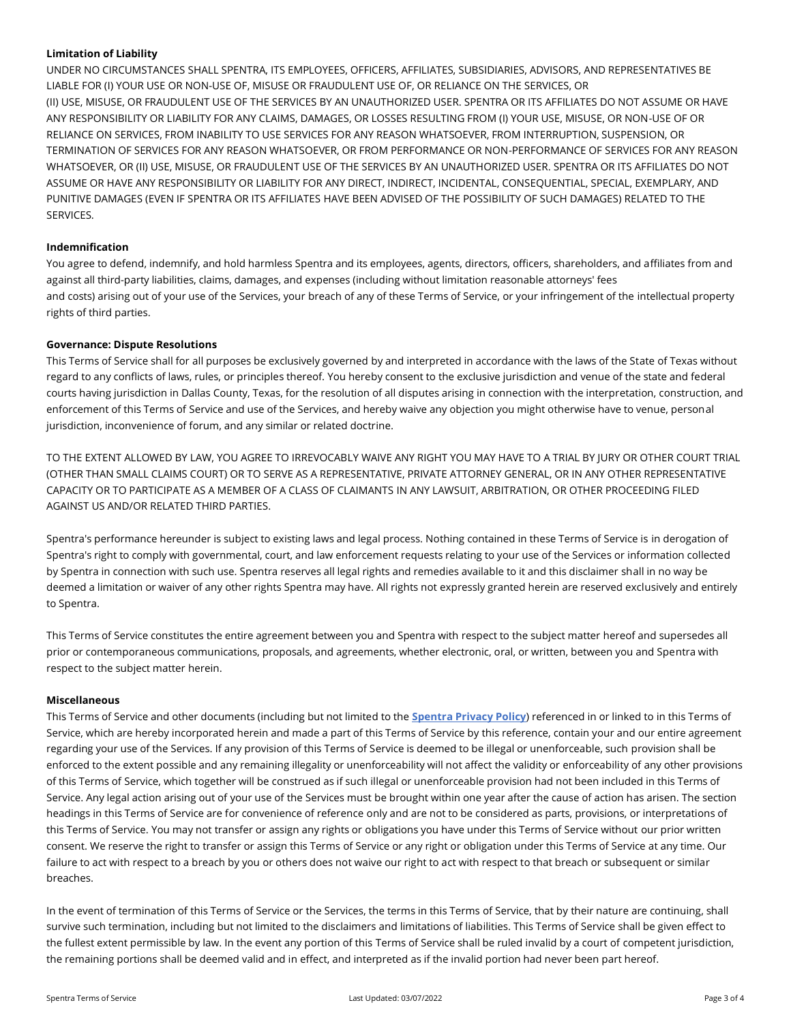## **Limitation of Liability**

UNDER NO CIRCUMSTANCES SHALL SPENTRA, ITS EMPLOYEES, OFFICERS, AFFILIATES, SUBSIDIARIES, ADVISORS, AND REPRESENTATIVES BE LIABLE FOR (I) YOUR USE OR NON-USE OF, MISUSE OR FRAUDULENT USE OF, OR RELIANCE ON THE SERVICES, OR (II) USE, MISUSE, OR FRAUDULENT USE OF THE SERVICES BY AN UNAUTHORIZED USER. SPENTRA OR ITS AFFILIATES DO NOT ASSUME OR HAVE ANY RESPONSIBILITY OR LIABILITY FOR ANY CLAIMS, DAMAGES, OR LOSSES RESULTING FROM (I) YOUR USE, MISUSE, OR NON-USE OF OR RELIANCE ON SERVICES, FROM INABILITY TO USE SERVICES FOR ANY REASON WHATSOEVER, FROM INTERRUPTION, SUSPENSION, OR TERMINATION OF SERVICES FOR ANY REASON WHATSOEVER, OR FROM PERFORMANCE OR NON-PERFORMANCE OF SERVICES FOR ANY REASON WHATSOEVER, OR (II) USE, MISUSE, OR FRAUDULENT USE OF THE SERVICES BY AN UNAUTHORIZED USER. SPENTRA OR ITS AFFILIATES DO NOT ASSUME OR HAVE ANY RESPONSIBILITY OR LIABILITY FOR ANY DIRECT, INDIRECT, INCIDENTAL, CONSEQUENTIAL, SPECIAL, EXEMPLARY, AND PUNITIVE DAMAGES (EVEN IF SPENTRA OR ITS AFFILIATES HAVE BEEN ADVISED OF THE POSSIBILITY OF SUCH DAMAGES) RELATED TO THE SERVICES.

### **Indemnification**

You agree to defend, indemnify, and hold harmless Spentra and its employees, agents, directors, officers, shareholders, and affiliates from and against all third-party liabilities, claims, damages, and expenses (including without limitation reasonable attorneys' fees and costs) arising out of your use of the Services, your breach of any of these Terms of Service, or your infringement of the intellectual property rights of third parties.

## **Governance: Dispute Resolutions**

This Terms of Service shall for all purposes be exclusively governed by and interpreted in accordance with the laws of the State of Texas without regard to any conflicts of laws, rules, or principles thereof. You hereby consent to the exclusive jurisdiction and venue of the state and federal courts having jurisdiction in Dallas County, Texas, for the resolution of all disputes arising in connection with the interpretation, construction, and enforcement of this Terms of Service and use of the Services, and hereby waive any objection you might otherwise have to venue, personal jurisdiction, inconvenience of forum, and any similar or related doctrine.

TO THE EXTENT ALLOWED BY LAW, YOU AGREE TO IRREVOCABLY WAIVE ANY RIGHT YOU MAY HAVE TO A TRIAL BY JURY OR OTHER COURT TRIAL (OTHER THAN SMALL CLAIMS COURT) OR TO SERVE AS A REPRESENTATIVE, PRIVATE ATTORNEY GENERAL, OR IN ANY OTHER REPRESENTATIVE CAPACITY OR TO PARTICIPATE AS A MEMBER OF A CLASS OF CLAIMANTS IN ANY LAWSUIT, ARBITRATION, OR OTHER PROCEEDING FILED AGAINST US AND/OR RELATED THIRD PARTIES.

Spentra's performance hereunder is subject to existing laws and legal process. Nothing contained in these Terms of Service is in derogation of Spentra's right to comply with governmental, court, and law enforcement requests relating to your use of the Services or information collected by Spentra in connection with such use. Spentra reserves all legal rights and remedies available to it and this disclaimer shall in no way be deemed a limitation or waiver of any other rights Spentra may have. All rights not expressly granted herein are reserved exclusively and entirely to Spentra.

This Terms of Service constitutes the entire agreement between you and Spentra with respect to the subject matter hereof and supersedes all prior or contemporaneous communications, proposals, and agreements, whether electronic, oral, or written, between you and Spentra with respect to the subject matter herein.

### **Miscellaneous**

This Terms of Service and other documents (including but not limited to the **[Spentra Privacy Policy](https://spentra.com/en/spentra-privacy-policy/)**) referenced in or linked to in this Terms of Service, which are hereby incorporated herein and made a part of this Terms of Service by this reference, contain your and our entire agreement regarding your use of the Services. If any provision of this Terms of Service is deemed to be illegal or unenforceable, such provision shall be enforced to the extent possible and any remaining illegality or unenforceability will not affect the validity or enforceability of any other provisions of this Terms of Service, which together will be construed as if such illegal or unenforceable provision had not been included in this Terms of Service. Any legal action arising out of your use of the Services must be brought within one year after the cause of action has arisen. The section headings in this Terms of Service are for convenience of reference only and are not to be considered as parts, provisions, or interpretations of this Terms of Service. You may not transfer or assign any rights or obligations you have under this Terms of Service without our prior written consent. We reserve the right to transfer or assign this Terms of Service or any right or obligation under this Terms of Service at any time. Our failure to act with respect to a breach by you or others does not waive our right to act with respect to that breach or subsequent or similar breaches.

In the event of termination of this Terms of Service or the Services, the terms in this Terms of Service, that by their nature are continuing, shall survive such termination, including but not limited to the disclaimers and limitations of liabilities. This Terms of Service shall be given effect to the fullest extent permissible by law. In the event any portion of this Terms of Service shall be ruled invalid by a court of competent jurisdiction, the remaining portions shall be deemed valid and in effect, and interpreted as if the invalid portion had never been part hereof.